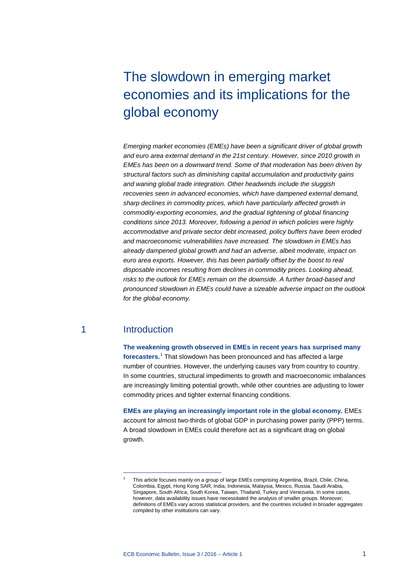# The slowdown in emerging market economies and its implications for the global economy

*Emerging market economies (EMEs) have been a significant driver of global growth and euro area external demand in the 21st century. However, since 2010 growth in EMEs has been on a downward trend. Some of that moderation has been driven by structural factors such as diminishing capital accumulation and productivity gains and waning global trade integration. Other headwinds include the sluggish recoveries seen in advanced economies, which have dampened external demand, sharp declines in commodity prices, which have particularly affected growth in commodity-exporting economies, and the gradual tightening of global financing conditions since 2013. Moreover, following a period in which policies were highly accommodative and private sector debt increased, policy buffers have been eroded and macroeconomic vulnerabilities have increased. The slowdown in EMEs has already dampened global growth and had an adverse, albeit moderate, impact on euro area exports. However, this has been partially offset by the boost to real disposable incomes resulting from declines in commodity prices. Looking ahead, risks to the outlook for EMEs remain on the downside. A further broad-based and pronounced slowdown in EMEs could have a sizeable adverse impact on the outlook for the global economy.*

### 1 Introduction

<span id="page-0-0"></span>-

**The weakening growth observed in EMEs in recent years has surprised many forecasters.**[1](#page-0-0) That slowdown has been pronounced and has affected a large number of countries. However, the underlying causes vary from country to country. In some countries, structural impediments to growth and macroeconomic imbalances are increasingly limiting potential growth, while other countries are adjusting to lower commodity prices and tighter external financing conditions.

**EMEs are playing an increasingly important role in the global economy.** EMEs account for almost two-thirds of global GDP in purchasing power parity (PPP) terms. A broad slowdown in EMEs could therefore act as a significant drag on global growth.

<sup>1</sup> This article focuses mainly on a group of large EMEs comprising Argentina, Brazil, Chile, China, Colombia, Egypt, Hong Kong SAR, India, Indonesia, Malaysia, Mexico, Russia, Saudi Arabia, Singapore, South Africa, South Korea, Taiwan, Thailand, Turkey and Venezuela. In some cases, however, data availability issues have necessitated the analysis of smaller groups. Moreover, definitions of EMEs vary across statistical providers, and the countries included in broader aggregates compiled by other institutions can vary.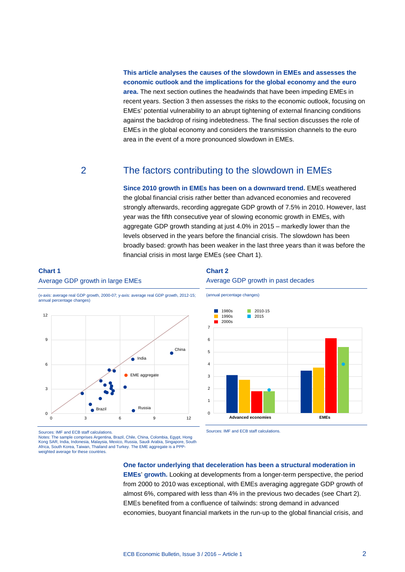### **This article analyses the causes of the slowdown in EMEs and assesses the economic outlook and the implications for the global economy and the euro area.** The next section outlines the headwinds that have been impeding EMEs in recent years. Section 3 then assesses the risks to the economic outlook, focusing on EMEs' potential vulnerability to an abrupt tightening of external financing conditions against the backdrop of rising indebtedness. The final section discusses the role of EMEs in the global economy and considers the transmission channels to the euro area in the event of a more pronounced slowdown in EMEs.

## 2 The factors contributing to the slowdown in EMEs

**Since 2010 growth in EMEs has been on a downward trend.** EMEs weathered the global financial crisis rather better than advanced economies and recovered strongly afterwards, recording aggregate GDP growth of 7.5% in 2010. However, last year was the fifth consecutive year of slowing economic growth in EMEs, with aggregate GDP growth standing at just 4.0% in 2015 – markedly lower than the levels observed in the years before the financial crisis. The slowdown has been broadly based: growth has been weaker in the last three years than it was before the financial crisis in most large EMEs (see Chart 1).

### **Chart 1**

#### Average GDP growth in large EMEs

#### **Chart 2** Average GDP growth in past decades



#### (x-axis: average real GDP growth, 2000-07; y-axis: average real GDP growth, 2012-15; annual percentage changes)



Sources: IMF and ECB staff calculations. Notes: The sample comprises Argentina, Brazil, Chile, China, Colombia, Egypt, Hong Kong SAR, India, Indonesia, Malaysia, Mexico, Russia, Saudi Arabia, Singapore, South Africa, South Korea, Taiwan, Thailand and Turkey. The EME aggregate is a PPPweighted average for these countries.

Sources: IMF and ECB staff calculations.

### **One factor underlying that deceleration has been a structural moderation in EMEs**' **growth.** Looking at developments from a longer-term perspective, the period from 2000 to 2010 was exceptional, with EMEs averaging aggregate GDP growth of almost 6%, compared with less than 4% in the previous two decades (see Chart 2). EMEs benefited from a confluence of tailwinds: strong demand in advanced economies, buoyant financial markets in the run-up to the global financial crisis, and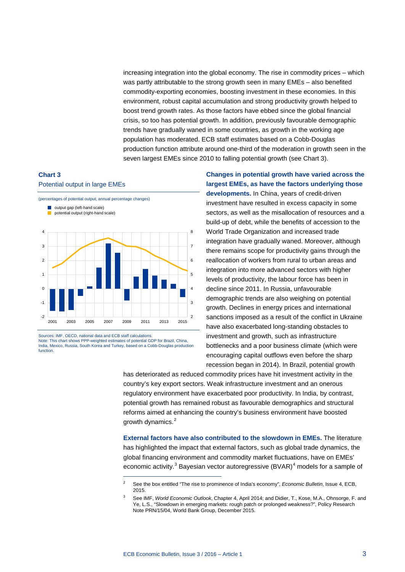increasing integration into the global economy. The rise in commodity prices – which was partly attributable to the strong growth seen in many EMEs – also benefited commodity-exporting economies, boosting investment in these economies. In this environment, robust capital accumulation and strong productivity growth helped to boost trend growth rates. As those factors have ebbed since the global financial crisis, so too has potential growth. In addition, previously favourable demographic trends have gradually waned in some countries, as growth in the working age population has moderated. ECB staff estimates based on a Cobb-Douglas production function attribute around one-third of the moderation in growth seen in the seven largest EMEs since 2010 to falling potential growth (see Chart 3).

### **Chart 3**

#### Potential output in large EMEs



Sources: IMF, OECD, national data and ECB staff calculations.

<span id="page-2-2"></span>Note: This chart shows PPP-weighted estimates of potential GDP for Brazil, China, India, Mexico, Russia, South Korea and Turkey, based on a Cobb-Douglas production function.

-

**Changes in potential growth have varied across the largest EMEs, as have the factors underlying those developments.** In China, years of credit-driven investment have resulted in excess capacity in some sectors, as well as the misallocation of resources and a build-up of debt, while the benefits of accession to the World Trade Organization and increased trade integration have gradually waned. Moreover, although there remains scope for productivity gains through the reallocation of workers from rural to urban areas and integration into more advanced sectors with higher levels of productivity, the labour force has been in decline since 2011. In Russia, unfavourable demographic trends are also weighing on potential growth. Declines in energy prices and international sanctions imposed as a result of the conflict in Ukraine have also exacerbated long-standing obstacles to investment and growth, such as infrastructure bottlenecks and a poor business climate (which were encouraging capital outflows even before the sharp recession began in 2014). In Brazil, potential growth

has deteriorated as reduced commodity prices have hit investment activity in the country's key export sectors. Weak infrastructure investment and an onerous regulatory environment have exacerbated poor productivity. In India, by contrast, potential growth has remained robust as favourable demographics and structural reforms aimed at enhancing the country's business environment have boosted growth dynamics.<sup>[2](#page-2-0)</sup>

**External factors have also contributed to the slowdown in EMEs.** The literature has highlighted the impact that external factors, such as global trade dynamics, the global financing environment and commodity market fluctuations, have on EMEs' economic activity.<sup>[3](#page-2-1)</sup> Bayesian vector autoregressive (BVAR)<sup>[4](#page-2-2)</sup> models for a sample of

<span id="page-2-1"></span><span id="page-2-0"></span><sup>2</sup> See the box entitled "The rise to prominence of India's economy", *Economic Bulletin*, Issue 4, ECB, 2015.

<sup>3</sup> See IMF, *World Economic Outlook*, Chapter 4, April 2014; and Didier, T., Kose, M.A., Ohnsorge, F. and Ye, L.S., "Slowdown in emerging markets: rough patch or prolonged weakness?", Policy Research Note PRN/15/04, World Bank Group, December 2015.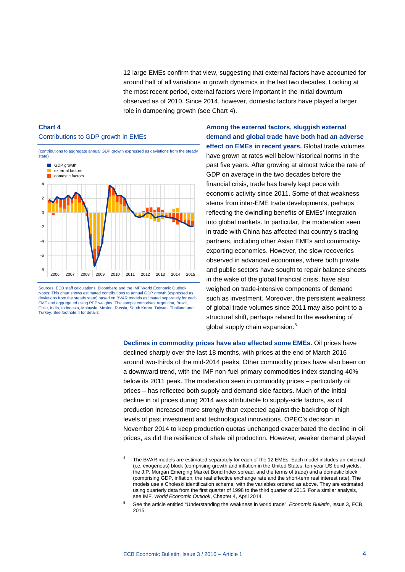12 large EMEs confirm that view, suggesting that external factors have accounted for around half of all variations in growth dynamics in the last two decades. Looking at the most recent period, external factors were important in the initial downturn observed as of 2010. Since 2014, however, domestic factors have played a larger role in dampening growth (see Chart 4).

### **Chart 4** Contributions to GDP growth in EMEs



Sources: ECB staff calculations, Bloomberg and the IMF World Economic Outlook. Notes: This chart shows estimated contributions to annual GDP growth (expressed as deviations from the steady state) based on BVAR models estimated separately for each EME and aggregated using PPP weights. The sample comprises Argentina, Brazil, Chile, India, Indonesia, Malaysia, Mexico, Russia, South Korea, Taiwan, Thailand and Turkey. See footnote 4 for details.

-

**Among the external factors, sluggish external demand and global trade have both had an adverse effect on EMEs in recent years.** Global trade volumes have grown at rates well below historical norms in the past five years. After growing at almost twice the rate of GDP on average in the two decades before the financial crisis, trade has barely kept pace with economic activity since 2011. Some of that weakness stems from inter-EME trade developments, perhaps reflecting the dwindling benefits of EMEs' integration into global markets. In particular, the moderation seen in trade with China has affected that country's trading partners, including other Asian EMEs and commodityexporting economies. However, the slow recoveries observed in advanced economies, where both private and public sectors have sought to repair balance sheets in the wake of the global financial crisis, have also weighed on trade-intensive components of demand such as investment. Moreover, the persistent weakness of global trade volumes since 2011 may also point to a structural shift, perhaps related to the weakening of global supply chain expansion.<sup>[5](#page-3-0)</sup>

**Declines in commodity prices have also affected some EMEs.** Oil prices have declined sharply over the last 18 months, with prices at the end of March 2016 around two-thirds of the mid-2014 peaks. Other commodity prices have also been on a downward trend, with the IMF non-fuel primary commodities index standing 40% below its 2011 peak. The moderation seen in commodity prices – particularly oil prices – has reflected both supply and demand-side factors. Much of the initial decline in oil prices during 2014 was attributable to supply-side factors, as oil production increased more strongly than expected against the backdrop of high levels of past investment and technological innovations. OPEC's decision in November 2014 to keep production quotas unchanged exacerbated the decline in oil prices, as did the resilience of shale oil production. However, weaker demand played

The BVAR models are estimated separately for each of the 12 EMEs. Each model includes an external (i.e. exogenous) block (comprising growth and inflation in the United States, ten-year US bond yields, the J.P. Morgan Emerging Market Bond Index spread, and the terms of trade) and a domestic block (comprising GDP, inflation, the real effective exchange rate and the short-term real interest rate). The models use a Choleski identification scheme, with the variables ordered as above. They are estimated using quarterly data from the first quarter of 1998 to the third quarter of 2015. For a similar analysis, see IMF, *World Economic Outlook*, Chapter 4, April 2014.

<span id="page-3-0"></span><sup>5</sup> See the article entitled "Understanding the weakness in world trade", *Economic Bulletin*, Issue 3, ECB, 2015.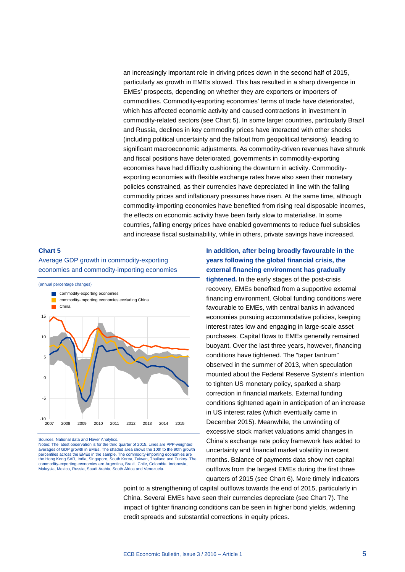an increasingly important role in driving prices down in the second half of 2015, particularly as growth in EMEs slowed. This has resulted in a sharp divergence in EMEs' prospects, depending on whether they are exporters or importers of commodities. Commodity-exporting economies' terms of trade have deteriorated, which has affected economic activity and caused contractions in investment in commodity-related sectors (see Chart 5). In some larger countries, particularly Brazil and Russia, declines in key commodity prices have interacted with other shocks (including political uncertainty and the fallout from geopolitical tensions), leading to significant macroeconomic adjustments. As commodity-driven revenues have shrunk and fiscal positions have deteriorated, governments in commodity-exporting economies have had difficulty cushioning the downturn in activity. Commodityexporting economies with flexible exchange rates have also seen their monetary policies constrained, as their currencies have depreciated in line with the falling commodity prices and inflationary pressures have risen. At the same time, although commodity-importing economies have benefited from rising real disposable incomes, the effects on economic activity have been fairly slow to materialise. In some countries, falling energy prices have enabled governments to reduce fuel subsidies and increase fiscal sustainability, while in others, private savings have increased.

### **Chart 5**

Average GDP growth in commodity-exporting economies and commodity-importing economies



Sources: National data and Haver Analytics.

Notes: The latest observation is for the third quarter of 2015. Lines are PPP-weighted averages of GDP growth in EMEs. The shaded area shows the 10th to the 90th growth percentiles across the EMEs in the sample. The commodity-importing economies are the Hong Kong SAR, India, Singapore, South Korea, Taiwan, Thailand and Turkey. The commodity-exporting economies are Argentina, Brazil, Chile, Colombia, Indonesia, Malaysia, Mexico, Russia, Saudi Arabia, South Africa and Venezuela.

**In addition, after being broadly favourable in the years following the global financial crisis, the external financing environment has gradually** 

**tightened.** In the early stages of the post-crisis recovery, EMEs benefited from a supportive external financing environment. Global funding conditions were favourable to EMEs, with central banks in advanced economies pursuing accommodative policies, keeping interest rates low and engaging in large-scale asset purchases. Capital flows to EMEs generally remained buoyant. Over the last three years, however, financing conditions have tightened. The "taper tantrum" observed in the summer of 2013, when speculation mounted about the Federal Reserve System's intention to tighten US monetary policy, sparked a sharp correction in financial markets. External funding conditions tightened again in anticipation of an increase in US interest rates (which eventually came in December 2015). Meanwhile, the unwinding of excessive stock market valuations amid changes in China's exchange rate policy framework has added to uncertainty and financial market volatility in recent months. Balance of payments data show net capital outflows from the largest EMEs during the first three quarters of 2015 (see Chart 6). More timely indicators

point to a strengthening of capital outflows towards the end of 2015, particularly in China. Several EMEs have seen their currencies depreciate (see Chart 7). The impact of tighter financing conditions can be seen in higher bond yields, widening credit spreads and substantial corrections in equity prices.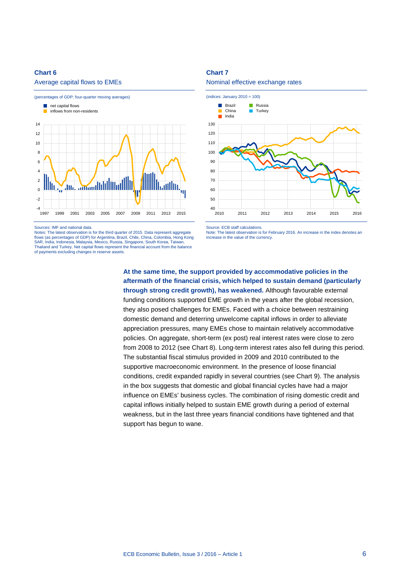#### Average capital flows to EMEs



Sources: IMF and national data.

Notes: The latest observation is for the third quarter of 2015. Data represent aggregate flows (as percentages of GDP) for Argentina, Brazil, Chile, China, Colombia, Hong Kong SAR, India, Indonesia, Malaysia, Mexico, Russia, Singapore, South Korea, Taiwan, Thailand and Turkey. Net capital flows represent the financial account from the balance of payments excluding changes in reserve assets.

#### **Chart 7**





Source: ECB staff calculations.

Note: The latest observation is for February 2016. An increase in the index denotes an increase in the value of the currency.

**At the same time, the support provided by accommodative policies in the aftermath of the financial crisis, which helped to sustain demand (particularly through strong credit growth), has weakened.** Although favourable external funding conditions supported EME growth in the years after the global recession, they also posed challenges for EMEs. Faced with a choice between restraining domestic demand and deterring unwelcome capital inflows in order to alleviate appreciation pressures, many EMEs chose to maintain relatively accommodative policies. On aggregate, short-term (ex post) real interest rates were close to zero from 2008 to 2012 (see Chart 8). Long-term interest rates also fell during this period. The substantial fiscal stimulus provided in 2009 and 2010 contributed to the supportive macroeconomic environment. In the presence of loose financial conditions, credit expanded rapidly in several countries (see Chart 9). The analysis in the box suggests that domestic and global financial cycles have had a major influence on EMEs' business cycles. The combination of rising domestic credit and capital inflows initially helped to sustain EME growth during a period of external weakness, but in the last three years financial conditions have tightened and that support has begun to wane.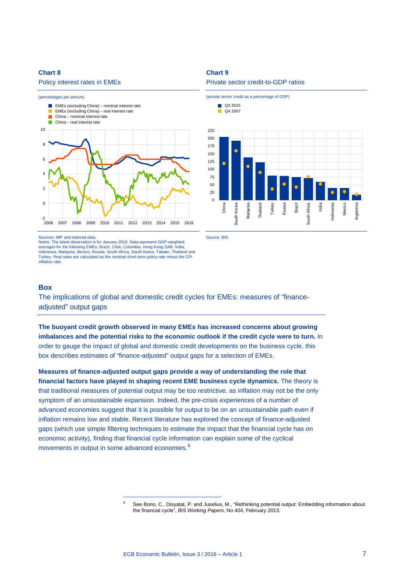#### Policy interest rates in EMEs



#### Sources: IMF and national data.

Notes: The latest observation is for January 2016. Data represent GDP-weighted averages for the following EMEs: Brazil, Chile, Colombia, Hong Kong SAR, India, Indonesia, Malaysia, Mexico, Russia, South Africa, South Korea, Taiwan, Thailand and Turkey. Real rates are calculated as the nominal short-term policy rate minus the CPI inflation rate.

<span id="page-6-0"></span>-

### **Chart 9**

#### Private sector credit-to-GDP ratios



Source: BIS.

### **Box**

The implications of global and domestic credit cycles for EMEs: measures of "financeadjusted" output gaps

**The buoyant credit growth observed in many EMEs has increased concerns about growing imbalances and the potential risks to the economic outlook if the credit cycle were to turn.** In order to gauge the impact of global and domestic credit developments on the business cycle, this box describes estimates of "finance-adjusted" output gaps for a selection of EMEs.

**Measures of finance-adjusted output gaps provide a way of understanding the role that financial factors have played in shaping recent EME business cycle dynamics.** The theory is that traditional measures of potential output may be too restrictive, as inflation may not be the only symptom of an unsustainable expansion. Indeed, the pre-crisis experiences of a number of advanced economies suggest that it is possible for output to be on an unsustainable path even if inflation remains low and stable. Recent literature has explored the concept of finance-adjusted gaps (which use simple filtering techniques to estimate the impact that the financial cycle has on economic activity), finding that financial cycle information can explain some of the cyclical movements in output in some advanced economies.<sup>[6](#page-6-0)</sup>

See Borio, C., Disyatat, P. and Juselius, M., "Rethinking potential output: Embedding information about the financial cycle", *BIS Working Papers*, No 404, February 2013.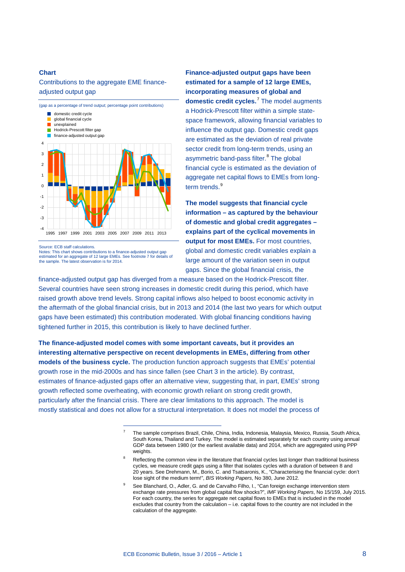### Contributions to the aggregate EME financeadjusted output gap



Source: ECB staff calculations.

Notes: This chart shows contributions to a finance-adjusted output gap estimated for an aggregate of 12 large EMEs. See footnote 7 for details of the sample. The latest observation is for 2014.

-

**Finance-adjusted output gaps have been estimated for a sample of 12 large EMEs, incorporating measures of global and domestic credit cycles.**[7](#page-7-0) The model augments a Hodrick-Prescott filter within a simple statespace framework, allowing financial variables to influence the output gap. Domestic credit gaps are estimated as the deviation of real private sector credit from long-term trends, using an asymmetric band-pass filter.<sup>[8](#page-7-1)</sup> The global financial cycle is estimated as the deviation of aggregate net capital flows to EMEs from long-term trends.<sup>[9](#page-7-2)</sup>

**The model suggests that financial cycle information – as captured by the behaviour of domestic and global credit aggregates – explains part of the cyclical movements in output for most EMEs.** For most countries, global and domestic credit variables explain a large amount of the variation seen in output gaps. Since the global financial crisis, the

finance-adjusted output gap has diverged from a measure based on the Hodrick-Prescott filter. Several countries have seen strong increases in domestic credit during this period, which have raised growth above trend levels. Strong capital inflows also helped to boost economic activity in the aftermath of the global financial crisis, but in 2013 and 2014 (the last two years for which output gaps have been estimated) this contribution moderated. With global financing conditions having tightened further in 2015, this contribution is likely to have declined further.

<span id="page-7-1"></span><span id="page-7-0"></span>**The finance-adjusted model comes with some important caveats, but it provides an interesting alternative perspective on recent developments in EMEs, differing from other models of the business cycle.** The production function approach suggests that EMEs' potential growth rose in the mid-2000s and has since fallen (see Chart 3 in the article). By contrast, estimates of finance-adjusted gaps offer an alternative view, suggesting that, in part, EMEs' strong growth reflected some overheating, with economic growth reliant on strong credit growth, particularly after the financial crisis. There are clear limitations to this approach. The model is mostly statistical and does not allow for a structural interpretation. It does not model the process of

<sup>7</sup> The sample comprises Brazil, Chile, China, India, Indonesia, Malaysia, Mexico, Russia, South Africa, South Korea, Thailand and Turkey. The model is estimated separately for each country using annual GDP data between 1980 (or the earliest available data) and 2014, which are aggregated using PPP weights.

Reflecting the common view in the literature that financial cycles last longer than traditional business cycles, we measure credit gaps using a filter that isolates cycles with a duration of between 8 and 20 years. See Drehmann, M., Borio, C. and Tsatsaronis, K., "Characterising the financial cycle: don't lose sight of the medium term!", *BIS Working Papers*, No 380, June 2012.

<span id="page-7-2"></span>See Blanchard, O., Adler, G. and de Carvalho Filho, I., "Can foreign exchange intervention stem exchange rate pressures from global capital flow shocks?", *IMF Working Papers*, No 15/159, July 2015. For each country, the series for aggregate net capital flows to EMEs that is included in the model excludes that country from the calculation – i.e. capital flows to the country are not included in the calculation of the aggregate.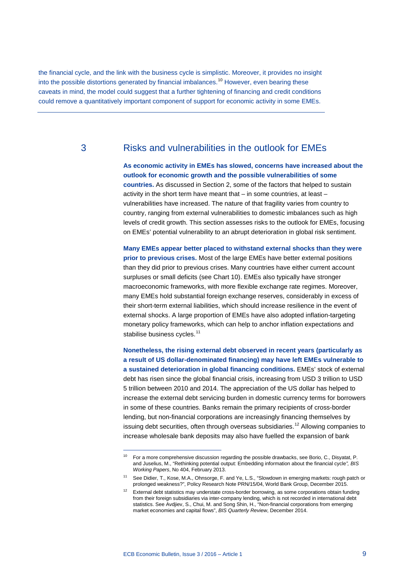the financial cycle, and the link with the business cycle is simplistic. Moreover, it provides no insight into the possible distortions generated by financial imbalances.<sup>[10](#page-8-0)</sup> However, even bearing these caveats in mind, the model could suggest that a further tightening of financing and credit conditions could remove a quantitatively important component of support for economic activity in some EMEs.

## 3 Risks and vulnerabilities in the outlook for EMEs

**As economic activity in EMEs has slowed, concerns have increased about the outlook for economic growth and the possible vulnerabilities of some countries.** As discussed in Section 2, some of the factors that helped to sustain activity in the short term have meant that – in some countries, at least – vulnerabilities have increased. The nature of that fragility varies from country to country, ranging from external vulnerabilities to domestic imbalances such as high levels of credit growth. This section assesses risks to the outlook for EMEs, focusing on EMEs' potential vulnerability to an abrupt deterioration in global risk sentiment.

**Many EMEs appear better placed to withstand external shocks than they were prior to previous crises.** Most of the large EMEs have better external positions than they did prior to previous crises. Many countries have either current account surpluses or small deficits (see Chart 10). EMEs also typically have stronger macroeconomic frameworks, with more flexible exchange rate regimes. Moreover, many EMEs hold substantial foreign exchange reserves, considerably in excess of their short-term external liabilities, which should increase resilience in the event of external shocks. A large proportion of EMEs have also adopted inflation-targeting monetary policy frameworks, which can help to anchor inflation expectations and stabilise business cycles.<sup>[11](#page-8-1)</sup>

**Nonetheless, the rising external debt observed in recent years (particularly as a result of US dollar-denominated financing) may have left EMEs vulnerable to a sustained deterioration in global financing conditions.** EMEs' stock of external debt has risen since the global financial crisis, increasing from USD 3 trillion to USD 5 trillion between 2010 and 2014. The appreciation of the US dollar has helped to increase the external debt servicing burden in domestic currency terms for borrowers in some of these countries. Banks remain the primary recipients of cross-border lending, but non-financial corporations are increasingly financing themselves by issuing debt securities, often through overseas subsidiaries.<sup>[12](#page-8-2)</sup> Allowing companies to increase wholesale bank deposits may also have fuelled the expansion of bank

<span id="page-8-0"></span><sup>&</sup>lt;sup>10</sup> For a more comprehensive discussion regarding the possible drawbacks, see Borio, C., Disyatat, P. and Juselius, M., "Rethinking potential output: Embedding information about the financial cycle*", BIS Working Papers*, No 404, February 2013.

<span id="page-8-1"></span><sup>11</sup> See Didier, T., Kose, M.A., Ohnsorge, F. and Ye, L.S., "Slowdown in emerging markets: rough patch or prolonged weakness?", Policy Research Note PRN/15/04, World Bank Group, December 2015.

<span id="page-8-2"></span><sup>12</sup> External debt statistics may understate cross-border borrowing, as some corporations obtain funding from their foreign subsidiaries via inter-company lending, which is not recorded in international debt statistics. See Avdjiev, S., Chui, M. and Song Shin, H., "Non-financial corporations from emerging market economies and capital flows", *BIS Quarterly Review*, December 2014.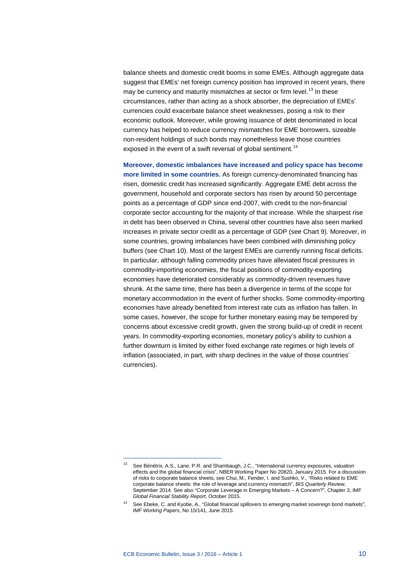balance sheets and domestic credit booms in some EMEs. Although aggregate data suggest that EMEs' net foreign currency position has improved in recent years, there may be currency and maturity mismatches at sector or firm level.<sup>[13](#page-9-0)</sup> In these circumstances, rather than acting as a shock absorber, the depreciation of EMEs' currencies could exacerbate balance sheet weaknesses, posing a risk to their economic outlook. Moreover, while growing issuance of debt denominated in local currency has helped to reduce currency mismatches for EME borrowers, sizeable non-resident holdings of such bonds may nonetheless leave those countries exposed in the event of a swift reversal of global sentiment.<sup>[14](#page-9-1)</sup>

**Moreover, domestic imbalances have increased and policy space has become more limited in some countries.** As foreign currency-denominated financing has risen, domestic credit has increased significantly. Aggregate EME debt across the government, household and corporate sectors has risen by around 50 percentage points as a percentage of GDP since end-2007, with credit to the non-financial corporate sector accounting for the majority of that increase. While the sharpest rise in debt has been observed in China, several other countries have also seen marked increases in private sector credit as a percentage of GDP (see Chart 9). Moreover, in some countries, growing imbalances have been combined with diminishing policy buffers (see Chart 10). Most of the largest EMEs are currently running fiscal deficits. In particular, although falling commodity prices have alleviated fiscal pressures in commodity-importing economies, the fiscal positions of commodity-exporting economies have deteriorated considerably as commodity-driven revenues have shrunk. At the same time, there has been a divergence in terms of the scope for monetary accommodation in the event of further shocks. Some commodity-importing economies have already benefited from interest rate cuts as inflation has fallen. In some cases, however, the scope for further monetary easing may be tempered by concerns about excessive credit growth, given the strong build-up of credit in recent years. In commodity-exporting economies, monetary policy's ability to cushion a further downturn is limited by either fixed exchange rate regimes or high levels of inflation (associated, in part, with sharp declines in the value of those countries' currencies).

<span id="page-9-0"></span><sup>&</sup>lt;sup>13</sup> See Bénétrix, A.S., Lane, P.R. and Shambaugh, J.C., "International currency exposures, valuation effects and the global financial crisis", NBER Working Paper No 20820, January 2015. For a discussion of risks to corporate balance sheets, see Chui, M., Fender, I. and Sushko, V., "Risks related to EME corporate balance sheets: the role of leverage and currency mismatch", *BIS Quarterly Review*, September 2014. See also "Corporate Leverage in Emerging Markets – A Concern?", Chapter 3, IMF *Global Financial Stability Report*, October 2015.

<span id="page-9-1"></span><sup>14</sup> See Ebeke, C. and Kyobe, A., "Global financial spillovers to emerging market sovereign bond markets", *IMF Working Papers*, No 15/141, June 2015.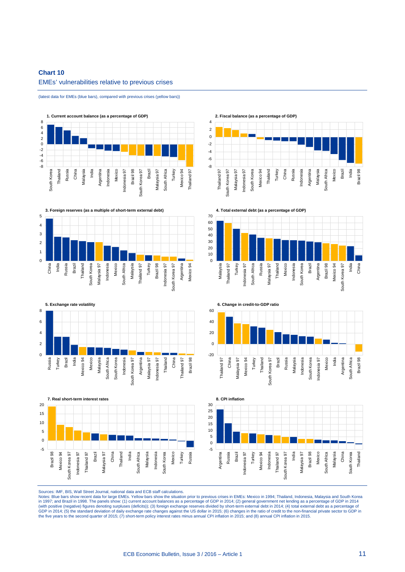### **Chart 10** EMEs' vulnerabilities relative to previous crises

(latest data for EMEs (blue bars), compared with previous crises (yellow bars))









**2. Fiscal balance (as a percentage of GDP)**









Sources: IMF, BIS, Wall Street Journal, national data and ECB staff calculations.

Notes: Blue bars show recent data for large EMEs. Yellow bars show the situation prior to previous crises in EMEs: Mexico in 1994; Thailand, Indonesia, Malaysia and South Korea<br>in 1997; and Brazil in 1998. The panels show: (with positive (negative) figures denoting surpluses (deficits)); (3) foreign exchange reserves divided by short-term external debt in 2014; (4) total external debt as a percentage of<br>GDP in 2014; (5) the standard deviatio the five years to the second quarter of 2015; (7) short-term policy interest rates minus annual CPI inflation in 2015; and (8) annual CPI inflation in 2015.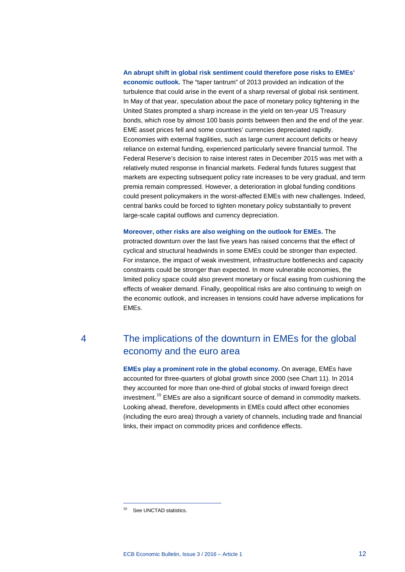#### **An abrupt shift in global risk sentiment could therefore pose risks to EMEs'**

**economic outlook.** The "taper tantrum" of 2013 provided an indication of the turbulence that could arise in the event of a sharp reversal of global risk sentiment. In May of that year, speculation about the pace of monetary policy tightening in the United States prompted a sharp increase in the yield on ten-year US Treasury bonds, which rose by almost 100 basis points between then and the end of the year. EME asset prices fell and some countries' currencies depreciated rapidly. Economies with external fragilities, such as large current account deficits or heavy reliance on external funding, experienced particularly severe financial turmoil. The Federal Reserve's decision to raise interest rates in December 2015 was met with a relatively muted response in financial markets. Federal funds futures suggest that markets are expecting subsequent policy rate increases to be very gradual, and term premia remain compressed. However, a deterioration in global funding conditions could present policymakers in the worst-affected EMEs with new challenges. Indeed, central banks could be forced to tighten monetary policy substantially to prevent large-scale capital outflows and currency depreciation.

**Moreover, other risks are also weighing on the outlook for EMEs.** The protracted downturn over the last five years has raised concerns that the effect of cyclical and structural headwinds in some EMEs could be stronger than expected. For instance, the impact of weak investment, infrastructure bottlenecks and capacity constraints could be stronger than expected. In more vulnerable economies, the limited policy space could also prevent monetary or fiscal easing from cushioning the effects of weaker demand. Finally, geopolitical risks are also continuing to weigh on the economic outlook, and increases in tensions could have adverse implications for EMEs.

## 4 The implications of the downturn in EMEs for the global economy and the euro area

**EMEs play a prominent role in the global economy.** On average, EMEs have accounted for three-quarters of global growth since 2000 (see Chart 11). In 2014 they accounted for more than one-third of global stocks of inward foreign direct investment. [15](#page-11-0) EMEs are also a significant source of demand in commodity markets. Looking ahead, therefore, developments in EMEs could affect other economies (including the euro area) through a variety of channels, including trade and financial links, their impact on commodity prices and confidence effects.

<span id="page-11-0"></span><sup>&</sup>lt;sup>15</sup> See UNCTAD statistics.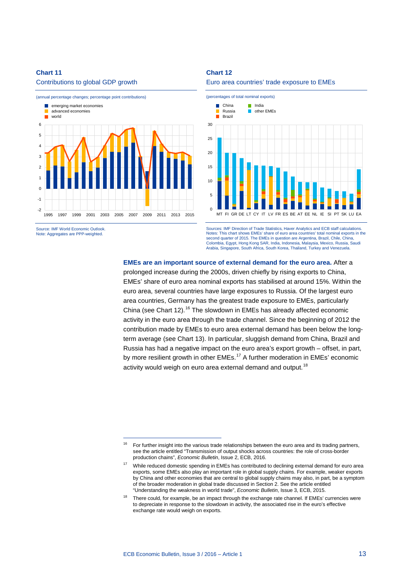Contributions to global GDP growth



-

Note: Aggregates are PPP-weighted.

### **Chart 12**





Sources: IMF Direction of Trade Statistics, Haver Analytics and ECB staff calculations. Notes: This chart shows EMEs' share of euro area countries' total nominal exports in the second quarter of 2015. The EMEs in question are Argentina, Brazil, Chile, China, Colombia, Egypt, Hong Kong SAR, India, Indonesia, Malaysia, Mexico, Russia, Saudi Arabia, Singapore, South Africa, South Korea, Thailand, Turkey and Venezuela.

#### **EMEs are an important source of external demand for the euro area.** After a

prolonged increase during the 2000s, driven chiefly by rising exports to China, EMEs' share of euro area nominal exports has stabilised at around 15%. Within the euro area, several countries have large exposures to Russia. Of the largest euro area countries, Germany has the greatest trade exposure to EMEs, particularly China (see Chart 12).<sup>[16](#page-12-0)</sup> The slowdown in EMEs has already affected economic activity in the euro area through the trade channel. Since the beginning of 2012 the contribution made by EMEs to euro area external demand has been below the longterm average (see Chart 13). In particular, sluggish demand from China, Brazil and Russia has had a negative impact on the euro area's export growth – offset, in part, by more resilient growth in other EMEs.<sup>[17](#page-12-1)</sup> A further moderation in EMEs' economic activity would weigh on euro area external demand and output.<sup>[18](#page-12-2)</sup>

<span id="page-12-0"></span><sup>&</sup>lt;sup>16</sup> For further insight into the various trade relationships between the euro area and its trading partners, see the article entitled "Transmission of output shocks across countries: the role of cross-border production chains", *Economic Bulletin*, Issue 2, ECB, 2016.

<span id="page-12-1"></span><sup>&</sup>lt;sup>17</sup> While reduced domestic spending in EMEs has contributed to declining external demand for euro area exports, some EMEs also play an important role in global supply chains. For example, weaker exports by China and other economies that are central to global supply chains may also, in part, be a symptom of the broader moderation in global trade discussed in Section 2. See the article entitled "Understanding the weakness in world trade", *Economic Bulletin*, Issue 3, ECB, 2015.

<span id="page-12-2"></span><sup>&</sup>lt;sup>18</sup> There could, for example, be an impact through the exchange rate channel. If EMEs' currencies were to depreciate in response to the slowdown in activity, the associated rise in the euro's effective exchange rate would weigh on exports.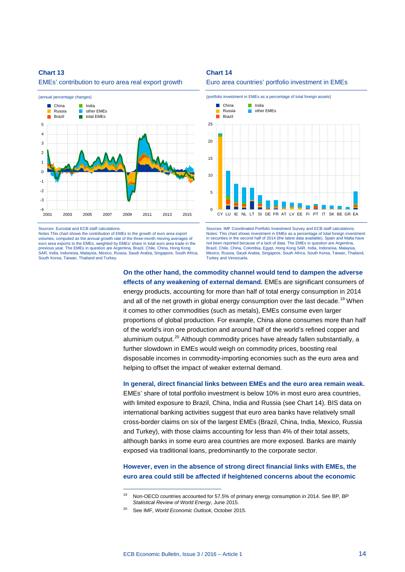EMEs' contribution to euro area real export growth



Sources: Eurostat and ECB staff calculation

Notes This chart shows the contribution of EMEs to the growth of euro area export volumes, computed as the annual growth rate of the three-month moving averages of euro area exports to the EMEs, weighted by EMEs' share in total euro area trade in the previous year. The EMEs in question are Argentina, Brazil, Chile, China, Hong Kong SAR, India, Indonesia, Malaysia, Mexico, Russia, Saudi Arabia, Singapore, South Africa, South Korea, Taiwan, Thailand and Turkey.

-

**Chart 14**





Sources: IMF Coordinated Portfolio Investment Survey and ECB staff calculations. Notes: This chart shows investment in EMEs as a percentage of total foreign investment in securities in the second half of 2014 (the latest data available). Spain and Malta have not been reported because of a lack of data. The EMEs in question are Argentina, Brazil, Chile, China, Colombia, Egypt, Hong Kong SAR, India, Indonesia, Malaysia, Mexico, Russia, Saudi Arabia, Singapore, South Africa, South Korea, Taiwan, Thailand, Turkey and Venezuela.

**On the other hand, the commodity channel would tend to dampen the adverse effects of any weakening of external demand.** EMEs are significant consumers of energy products, accounting for more than half of total energy consumption in 2014 and all of the net growth in global energy consumption over the last decade.<sup>[19](#page-13-0)</sup> When it comes to other commodities (such as metals), EMEs consume even larger proportions of global production. For example, China alone consumes more than half of the world's iron ore production and around half of the world's refined copper and aluminium output.<sup>[20](#page-13-1)</sup> Although commodity prices have already fallen substantially, a further slowdown in EMEs would weigh on commodity prices, boosting real disposable incomes in commodity-importing economies such as the euro area and helping to offset the impact of weaker external demand.

**In general, direct financial links between EMEs and the euro area remain weak.**  EMEs' share of total portfolio investment is below 10% in most euro area countries, with limited exposure to Brazil, China, India and Russia (see Chart 14). BIS data on international banking activities suggest that euro area banks have relatively small cross-border claims on six of the largest EMEs (Brazil, China, India, Mexico, Russia and Turkey), with those claims accounting for less than 4% of their total assets, although banks in some euro area countries are more exposed. Banks are mainly exposed via traditional loans, predominantly to the corporate sector.

**However, even in the absence of strong direct financial links with EMEs, the euro area could still be affected if heightened concerns about the economic** 

<span id="page-13-0"></span><sup>19</sup> Non-OECD countries accounted for 57.5% of primary energy consumption in 2014. See BP*, BP Statistical Review of World Energy*, June 2015.

<span id="page-13-1"></span><sup>20</sup> See IMF, *World Economic Outlook*, October 2015.